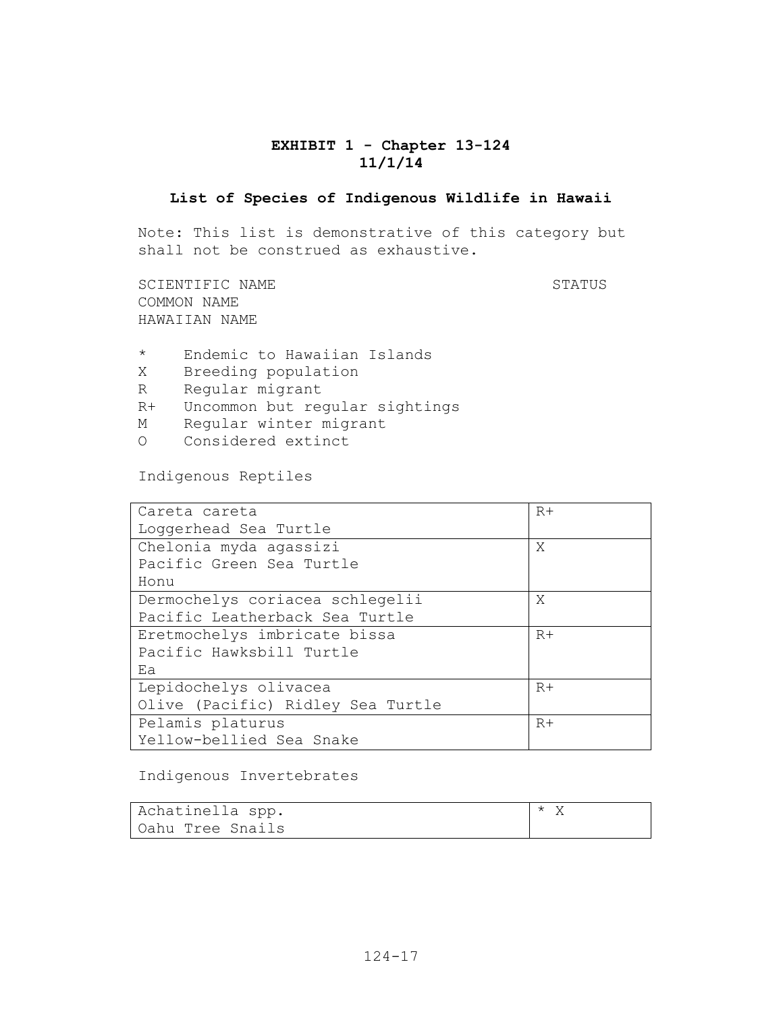### **EXHIBIT 1 - Chapter 13-124 11/1/14**

#### **List of Species of Indigenous Wildlife in Hawaii**

Note: This list is demonstrative of this category but shall not be construed as exhaustive.

SCIENTIFIC NAME STATUS COMMON NAME HAWAIIAN NAME

- \* Endemic to Hawaiian Islands
- X Breeding population
- R Regular migrant
- R+ Uncommon but regular sightings
- M Regular winter migrant
- O Considered extinct

Indigenous Reptiles

| Careta careta                     | $R+$ |
|-----------------------------------|------|
| Loqqerhead Sea Turtle             |      |
| Chelonia myda agassizi            | Χ    |
| Pacific Green Sea Turtle          |      |
| Honu                              |      |
| Dermochelys coriacea schlegelii   | X    |
| Pacific Leatherback Sea Turtle    |      |
| Eretmochelys imbricate bissa      | $R+$ |
| Pacific Hawksbill Turtle          |      |
| Ea                                |      |
| Lepidochelys olivacea             | $R+$ |
| Olive (Pacific) Ridley Sea Turtle |      |
| Pelamis platurus                  | $R+$ |
| Yellow-bellied Sea Snake          |      |

#### Indigenous Invertebrates

| Achatinella spp. | $\star$ |
|------------------|---------|
| Oahu Tree Snails |         |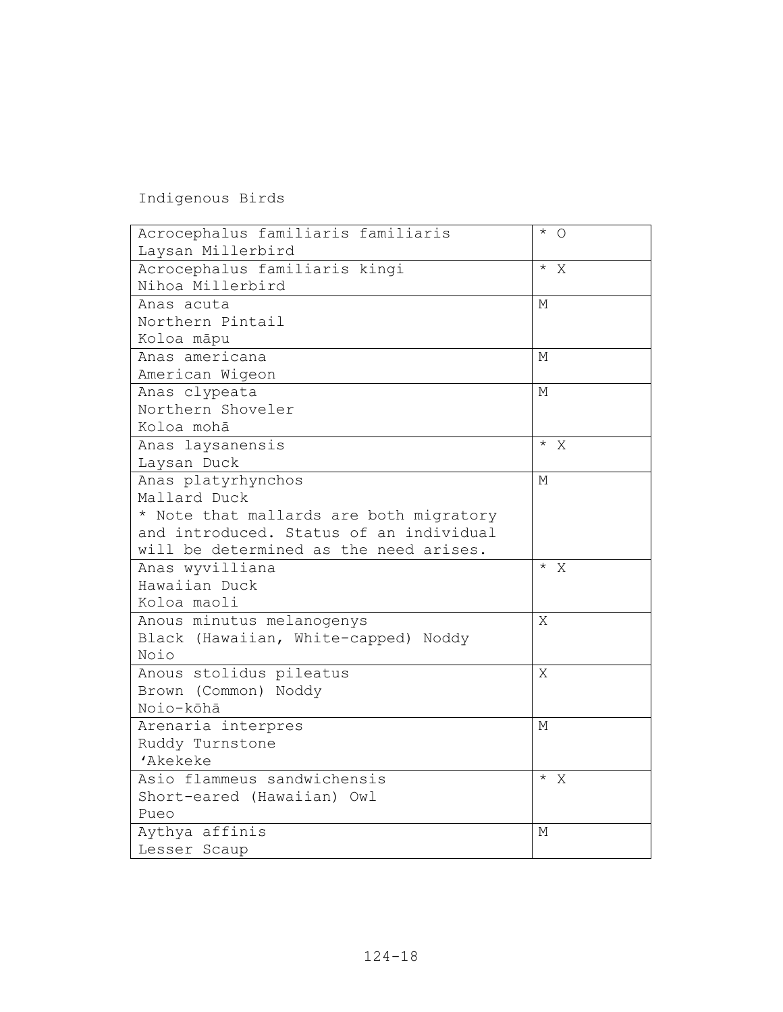Indigenous Birds

| Acrocephalus familiaris familiaris      | $*$ 0                |
|-----------------------------------------|----------------------|
| Laysan Millerbird                       |                      |
| Acrocephalus familiaris kingi           | $*$ X                |
| Nihoa Millerbird                        |                      |
| Anas acuta                              | М                    |
| Northern Pintail                        |                      |
| Koloa māpu                              |                      |
| Anas americana                          | М                    |
| American Wigeon                         |                      |
| Anas clypeata                           | М                    |
| Northern Shoveler                       |                      |
| Koloa mohā                              |                      |
| Anas laysanensis                        | $\overline{\star}$ X |
| Laysan Duck                             |                      |
| Anas platyrhynchos                      | М                    |
| Mallard Duck                            |                      |
| * Note that mallards are both migratory |                      |
| and introduced. Status of an individual |                      |
| will be determined as the need arises.  |                      |
| Anas wyvilliana                         | $*$ X                |
| Hawaiian Duck                           |                      |
| Koloa maoli                             |                      |
| Anous minutus melanogenys               | Χ                    |
| Black (Hawaiian, White-capped) Noddy    |                      |
| Noio                                    |                      |
| Anous stolidus pileatus                 | Χ                    |
| Brown (Common) Noddy                    |                      |
| Noio-kōhā                               |                      |
| Arenaria interpres                      | М                    |
| Ruddy Turnstone                         |                      |
| 'Akekeke                                |                      |
| Asio flammeus sandwichensis             | $\star$ X            |
| Short-eared (Hawaiian) Owl              |                      |
| Pueo                                    |                      |
| Aythya affinis                          | М                    |
| Lesser Scaup                            |                      |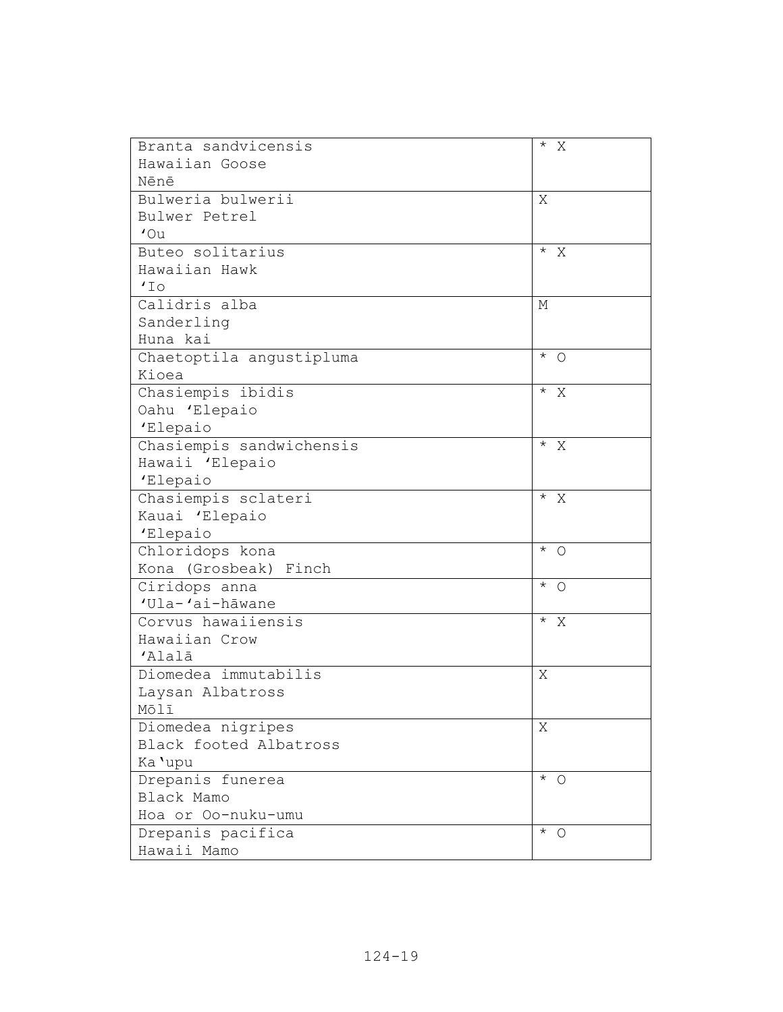| Branta sandvicensis      | $*$ X                 |
|--------------------------|-----------------------|
| Hawaiian Goose           |                       |
| Nēnē                     |                       |
| Bulweria bulwerii        | Χ                     |
| Bulwer Petrel            |                       |
| $'$ Ou                   |                       |
| Buteo solitarius         | $*$ X                 |
| Hawaiian Hawk            |                       |
| 'IO                      |                       |
| Calidris alba            | М                     |
| Sanderling               |                       |
| Huna kai                 |                       |
| Chaetoptila angustipluma | $*$ 0                 |
| Kioea                    |                       |
| Chasiempis ibidis        | $*$ X                 |
| Oahu 'Elepaio            |                       |
| 'Elepaio                 |                       |
| Chasiempis sandwichensis | $*$ X                 |
| Hawaii 'Elepaio          |                       |
| 'Elepaio                 |                       |
| Chasiempis sclateri      | $*$ X                 |
| Kauai 'Elepaio           |                       |
| 'Elepaio                 |                       |
| Chloridops kona          | $*$ 0                 |
| Kona (Grosbeak) Finch    |                       |
| Ciridops anna            | $*$ 0                 |
| 'Ula-'ai-hāwane          |                       |
| Corvus hawaiiensis       | $*$ X                 |
| Hawaiian Crow            |                       |
| 'Alalā                   |                       |
| Diomedea immutabilis     | Χ                     |
| Laysan Albatross         |                       |
| Mōlī                     |                       |
| Diomedea nigripes        | Χ                     |
| Black footed Albatross   |                       |
| Ka 'upu                  |                       |
| Drepanis funerea         | $\star$<br>$\bigcirc$ |
| Black Mamo               |                       |
| Hoa or Oo-nuku-umu       |                       |
| Drepanis pacifica        | $*$ 0                 |
| Hawaii Mamo              |                       |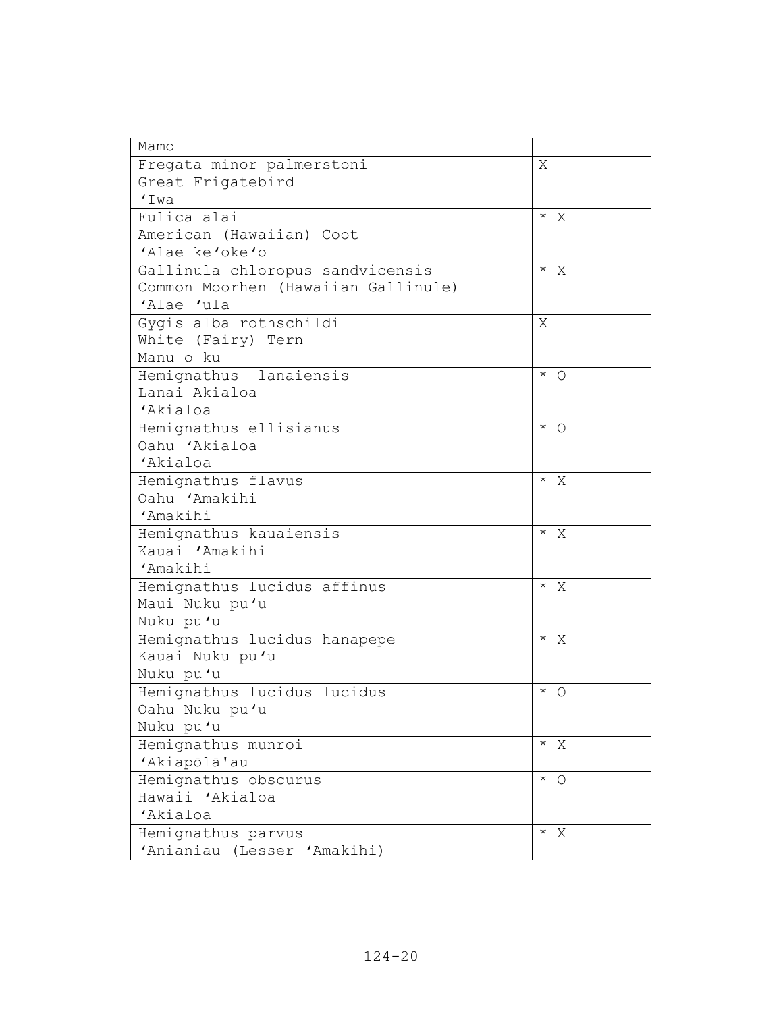| Mamo                                |                                      |
|-------------------------------------|--------------------------------------|
| Fregata minor palmerstoni           | X                                    |
| Great Frigatebird                   |                                      |
| 'Iwa                                |                                      |
| Fulica alai                         | $*$ X                                |
| American (Hawaiian) Coot            |                                      |
| 'Alae ke'oke'o                      |                                      |
| Gallinula chloropus sandvicensis    | $* \times$                           |
| Common Moorhen (Hawaiian Gallinule) |                                      |
| 'Alae 'ula                          |                                      |
| Gygis alba rothschildi              | Χ                                    |
| White (Fairy) Tern                  |                                      |
| Manu o ku                           |                                      |
| Hemignathus lanaiensis              | $*$ 0                                |
| Lanai Akialoa                       |                                      |
| 'Akialoa                            |                                      |
| Hemignathus ellisianus              | $\overline{1}$ $\overline{0}$        |
| Oahu 'Akialoa                       |                                      |
| 'Akialoa                            |                                      |
| Hemignathus flavus                  | $* \times$                           |
| Oahu 'Amakihi                       |                                      |
| 'Amakihi                            |                                      |
| Hemignathus kauaiensis              | $*$ X                                |
| Kauai 'Amakihi                      |                                      |
| 'Amakihi                            |                                      |
| Hemignathus lucidus affinus         | $* \times$                           |
| Maui Nuku pu'u                      |                                      |
| Nuku pu'u                           |                                      |
| Hemignathus lucidus hanapepe        | $^{\star}$ $\,$ X                    |
| Kauai Nuku pu'u                     |                                      |
| Nuku pu'u                           |                                      |
| Hemignathus lucidus lucidus         | $^\star$<br>O                        |
| Oahu Nuku pu'u                      |                                      |
| Nuku pu'u                           |                                      |
| Hemignathus munroi                  | $*$ X                                |
| 'Akiapōlā'au                        |                                      |
| Hemignathus obscurus                | $\overline{A}$ 0                     |
| Hawaii 'Akialoa                     |                                      |
| 'Akialoa                            |                                      |
| Hemignathus parvus                  | $\star$<br>$\boldsymbol{\mathrm{X}}$ |
| 'Anianiau (Lesser 'Amakihi)         |                                      |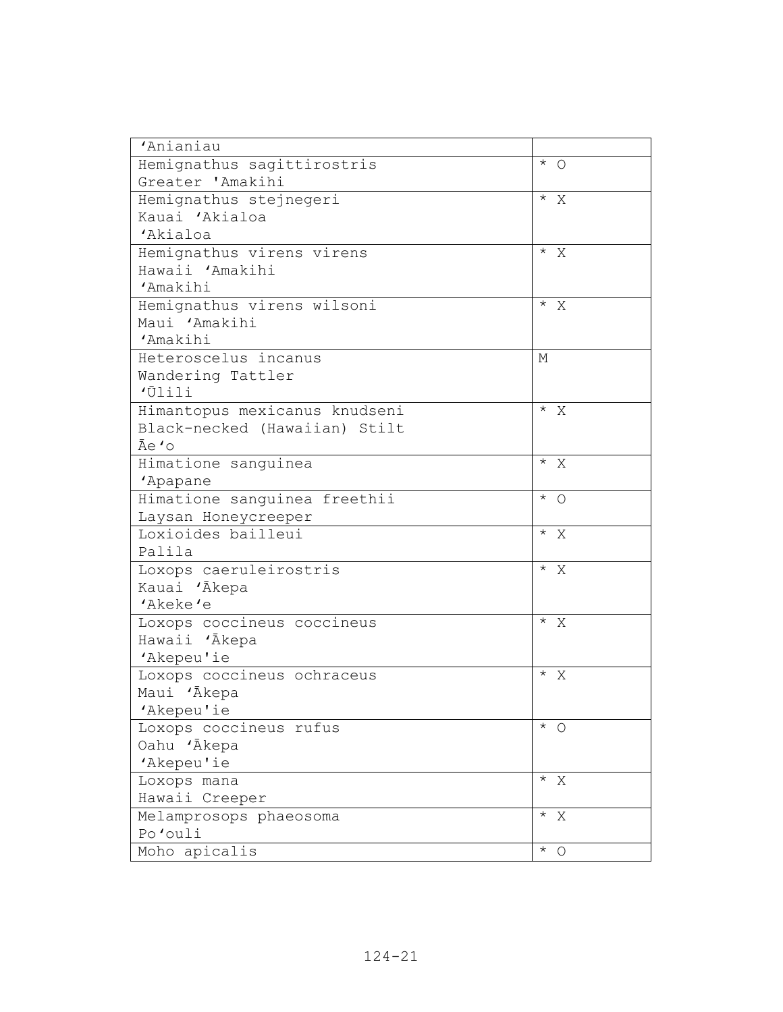| 'Anianiau                     |                   |
|-------------------------------|-------------------|
| Hemignathus sagittirostris    | $*$ 0             |
| Greater 'Amakihi              |                   |
| Hemignathus stejnegeri        | $*$ X             |
| Kauai 'Akialoa                |                   |
| 'Akialoa                      |                   |
| Hemignathus virens virens     | $*$ X             |
| Hawaii 'Amakihi               |                   |
| 'Amakihi                      |                   |
| Hemignathus virens wilsoni    | $*$ X             |
| Maui 'Amakihi                 |                   |
| 'Amakihi                      |                   |
| Heteroscelus incanus          | М                 |
| Wandering Tattler             |                   |
| 'Ūlili                        |                   |
| Himantopus mexicanus knudseni | $* \times$        |
| Black-necked (Hawaiian) Stilt |                   |
| Āe 'o                         |                   |
| Himatione sanguinea           | $*$ X             |
| 'Apapane                      |                   |
| Himatione sanguinea freethii  | $*$ 0             |
| Laysan Honeycreeper           |                   |
| Loxioides bailleui            | $*$ X             |
| Palila                        |                   |
| Loxops caeruleirostris        | $^{\star}$ $\,$ X |
| Kauai 'Ākepa                  |                   |
| 'Akeke'e                      |                   |
| Loxops coccineus coccineus    | $\overline{X}$    |
| Hawaii 'Akepa                 |                   |
| 'Akepeu'ie                    |                   |
| Loxops coccineus ochraceus    | $*$ X             |
| Maui 'Ākepa                   |                   |
| 'Akepeu'ie                    |                   |
| Loxops coccineus rufus        | $*$ 0             |
| Oahu 'Ākepa                   |                   |
| 'Akepeu'ie                    |                   |
| Loxops mana                   | $*$ X             |
| Hawaii Creeper                |                   |
| Melamprosops phaeosoma        | $*$ X             |
| Po'ouli                       |                   |
| Moho apicalis                 | $\star$<br>O      |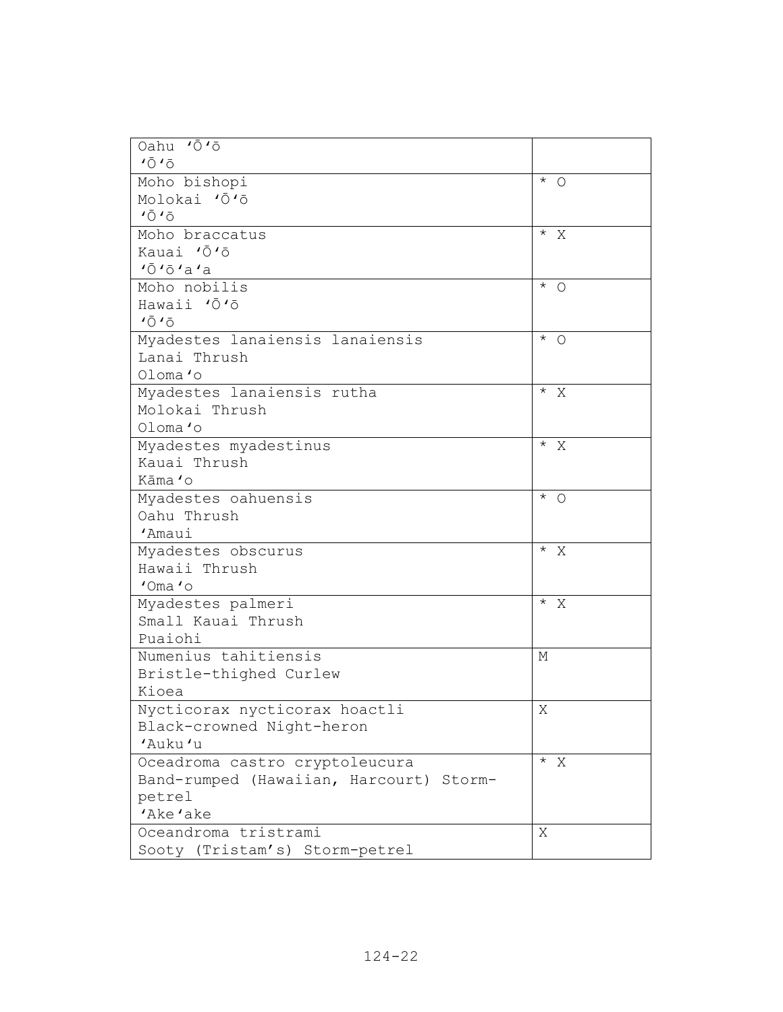| Oahu 'Ō'ō                               |                    |
|-----------------------------------------|--------------------|
| 1010                                    |                    |
| Moho bishopi                            | $*$ 0              |
| Molokai 'Ō'ō                            |                    |
| 1010                                    |                    |
| Moho braccatus                          | $*$ X              |
| Kauai 'Ō'ō                              |                    |
| 10101a1a                                |                    |
| Moho nobilis                            | $*$ 0              |
| Hawaii 'O'o                             |                    |
| 1010                                    |                    |
| Myadestes lanaiensis lanaiensis         | $\star$<br>$\circ$ |
| Lanai Thrush                            |                    |
| Oloma'o                                 |                    |
| Myadestes lanaiensis rutha              | $*$ X              |
| Molokai Thrush                          |                    |
| Oloma'o                                 |                    |
| Myadestes myadestinus                   | $*$ X              |
| Kauai Thrush                            |                    |
| Kāma 'o                                 |                    |
| Myadestes oahuensis                     | $*$ 0              |
| Oahu Thrush                             |                    |
| 'Amaui                                  |                    |
| Myadestes obscurus                      | $*$ X              |
| Hawaii Thrush                           |                    |
| $'Oma'$ o                               |                    |
| Myadestes palmeri                       | $* \times$         |
| Small Kauai Thrush                      |                    |
| Puaiohi                                 |                    |
| Numenius tahitiensis                    | М                  |
| Bristle-thighed Curlew                  |                    |
| Kioea                                   |                    |
| Nycticorax nycticorax hoactli           | Χ                  |
| Black-crowned Night-heron               |                    |
| 'Auku'u                                 |                    |
| Oceadroma castro cryptoleucura          | $* \times$         |
| Band-rumped (Hawaiian, Harcourt) Storm- |                    |
| petrel                                  |                    |
| 'Ake'ake                                |                    |
| Oceandroma tristrami                    | X                  |
| Sooty (Tristam's) Storm-petrel          |                    |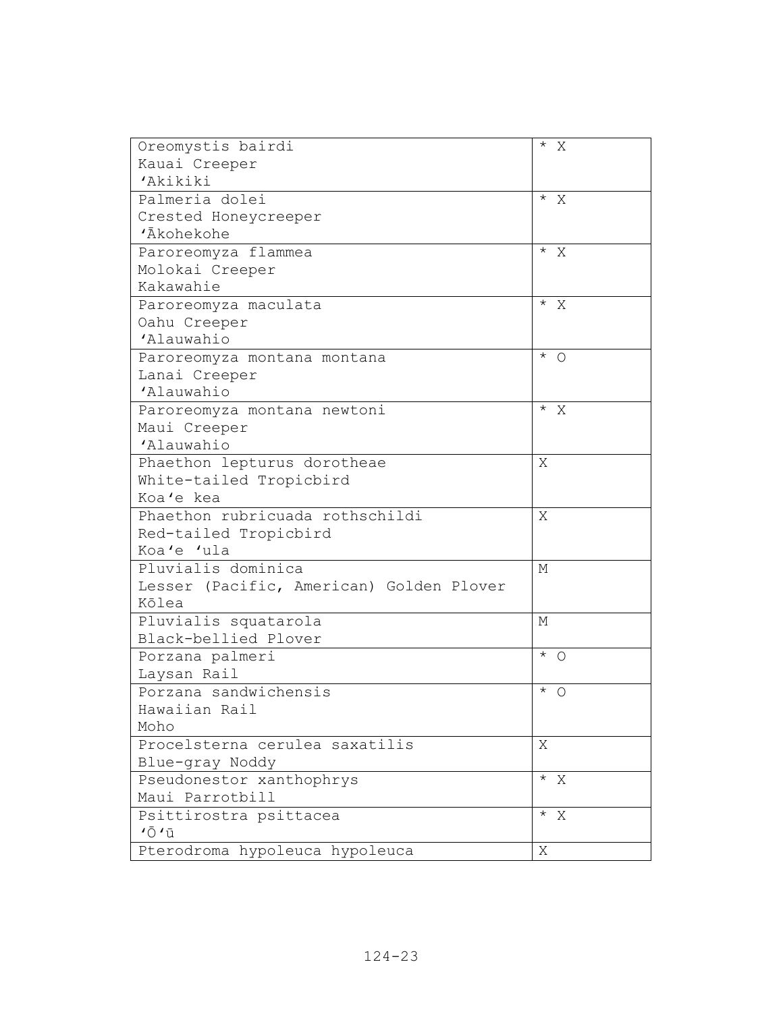| Oreomystis bairdi                        | $*$ X          |
|------------------------------------------|----------------|
| Kauai Creeper                            |                |
| 'Akikiki                                 |                |
| Palmeria dolei                           | $\overline{X}$ |
| Crested Honeycreeper                     |                |
| 'Ākohekohe                               |                |
| Paroreomyza flammea                      | $\overline{X}$ |
| Molokai Creeper                          |                |
| Kakawahie                                |                |
| Paroreomyza maculata                     | $\overline{X}$ |
| Oahu Creeper                             |                |
| 'Alauwahio                               |                |
| Paroreomyza montana montana              | $\star$<br>O   |
| Lanai Creeper                            |                |
| 'Alauwahio                               |                |
| Paroreomyza montana newtoni              | $*$ X          |
| Maui Creeper                             |                |
| 'Alauwahio                               |                |
| Phaethon lepturus dorotheae              | Χ              |
| White-tailed Tropicbird                  |                |
| Koa'e kea                                |                |
| Phaethon rubricuada rothschildi          | Χ              |
| Red-tailed Tropicbird                    |                |
| Koa'e 'ula                               |                |
| Pluvialis dominica                       | М              |
| Lesser (Pacific, American) Golden Plover |                |
| Kōlea                                    |                |
| Pluvialis squatarola                     | М              |
| Black-bellied Plover                     |                |
| Porzana palmeri                          | $*$ 0          |
| Laysan Rail                              |                |
| Porzana sandwichensis                    | $^\star$<br>O  |
| Hawaiian Rail                            |                |
| Moho                                     |                |
| Procelsterna cerulea saxatilis           | Χ              |
| Blue-gray Noddy                          |                |
| Pseudonestor xanthophrys                 | $*$ X          |
| Maui Parrotbill                          |                |
| Psittirostra psittacea                   | $*$ X          |
| $' \bar{O}$ $' \bar{u}$                  |                |
| Pterodroma hypoleuca hypoleuca           | Χ              |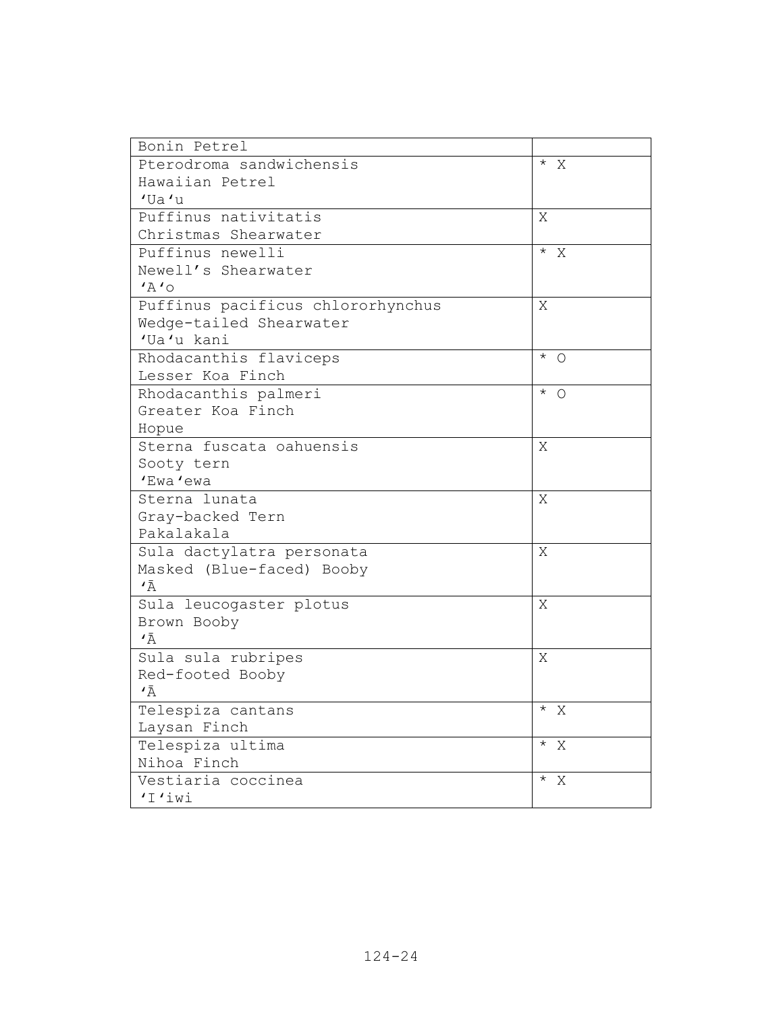| Bonin Petrel                      |                   |
|-----------------------------------|-------------------|
| Pterodroma sandwichensis          | $*$ X             |
| Hawaiian Petrel                   |                   |
| 'Ua'u                             |                   |
| Puffinus nativitatis              | Χ                 |
| Christmas Shearwater              |                   |
| Puffinus newelli                  | $^{\star}$ $\,$ X |
| Newell's Shearwater               |                   |
| 'A'Q                              |                   |
| Puffinus pacificus chlororhynchus | X                 |
| Wedge-tailed Shearwater           |                   |
| 'Ua'u kani                        |                   |
| Rhodacanthis flaviceps            | $*$ 0             |
| Lesser Koa Finch                  |                   |
| Rhodacanthis palmeri              | $*$ 0             |
| Greater Koa Finch                 |                   |
| Hopue                             |                   |
| Sterna fuscata oahuensis          | Χ                 |
| Sooty tern                        |                   |
| 'Ewa'ewa                          |                   |
| Sterna lunata                     | Χ                 |
| Gray-backed Tern                  |                   |
| Pakalakala                        |                   |
| Sula dactylatra personata         | X                 |
| Masked (Blue-faced) Booby         |                   |
| $\overline{A}$                    |                   |
| Sula leucogaster plotus           | Χ                 |
| Brown Booby                       |                   |
| $\overline{A}$                    |                   |
| Sula sula rubripes                | X                 |
| Red-footed Booby                  |                   |
| ٠Ā                                |                   |
| Telespiza cantans                 | $\star$<br>Χ      |
| Laysan Finch                      |                   |
| Telespiza ultima                  | $*$ X             |
| Nihoa Finch                       |                   |
| Vestiaria coccinea                | $*$ X             |
| 'I'iwi                            |                   |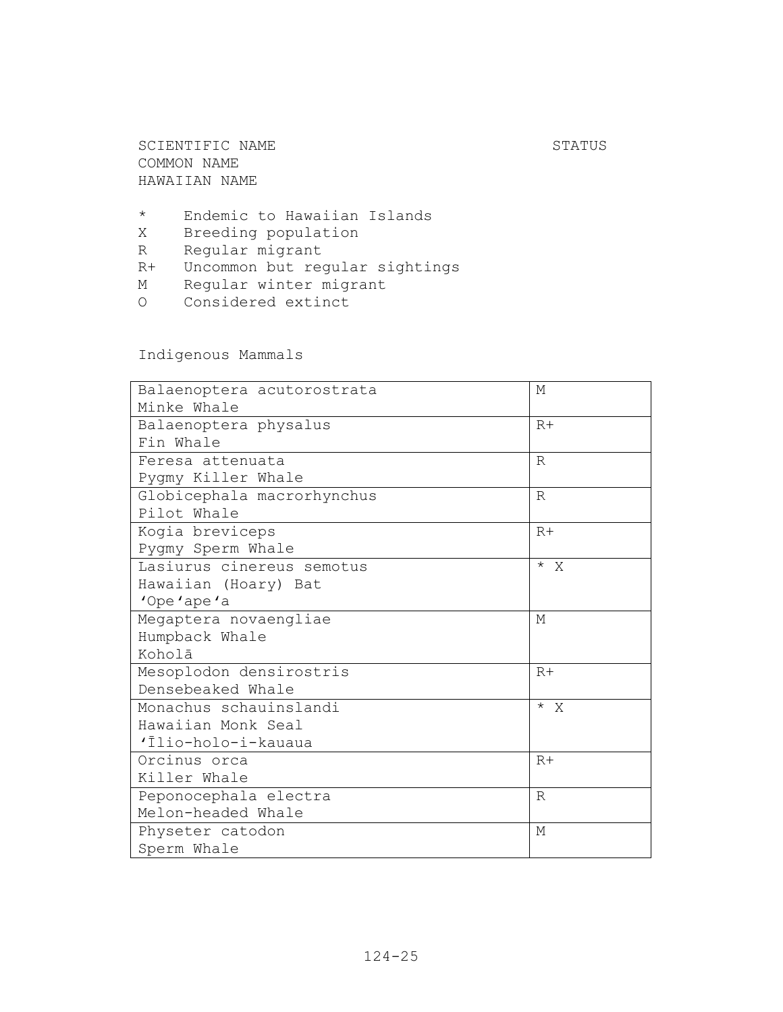SCIENTIFIC NAME STATUS COMMON NAME HAWAIIAN NAME

- \* Endemic to Hawaiian Islands
- X Breeding population
- R Regular migrant
- R+ Uncommon but regular sightings
- M Regular winter migrant
- O Considered extinct

Indigenous Mammals

| Balaenoptera acutorostrata | М            |
|----------------------------|--------------|
| Minke Whale                |              |
| Balaenoptera physalus      | $R+$         |
| Fin Whale                  |              |
| Feresa attenuata           | R            |
| Pygmy Killer Whale         |              |
| Globicephala macrorhynchus | $\mathbb{R}$ |
| Pilot Whale                |              |
| Kogia breviceps            | $R+$         |
| Pygmy Sperm Whale          |              |
| Lasiurus cinereus semotus  | $* \times$   |
| Hawaiian (Hoary) Bat       |              |
| 'Ope'ape'a                 |              |
| Megaptera novaengliae      | M            |
| Humpback Whale             |              |
| Koholā                     |              |
| Mesoplodon densirostris    | $R+$         |
| Densebeaked Whale          |              |
| Monachus schauinslandi     | $* \times$   |
| Hawaiian Monk Seal         |              |
| 'Ilio-holo-i-kauaua        |              |
| Orcinus orca               | $R+$         |
| Killer Whale               |              |
| Peponocephala electra      | $\mathbb{R}$ |
| Melon-headed Whale         |              |
| Physeter catodon           | M            |
| Sperm Whale                |              |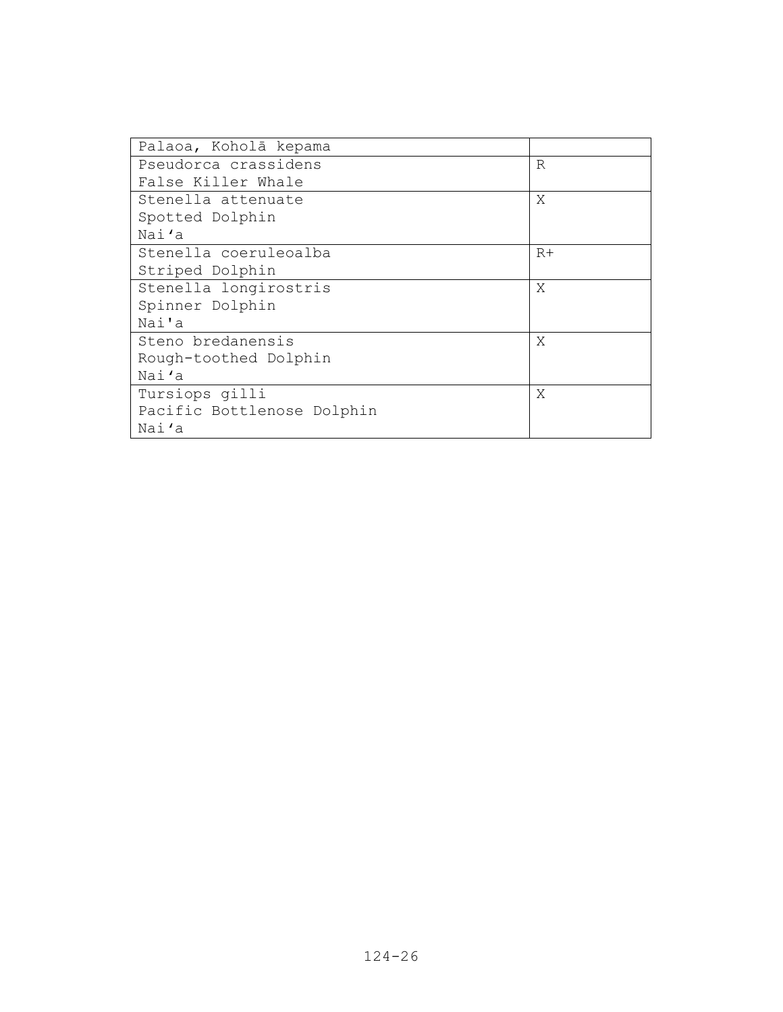| Palaoa, Koholā kepama      |      |
|----------------------------|------|
| Pseudorca crassidens       | R    |
| False Killer Whale         |      |
| Stenella attenuate         | X    |
| Spotted Dolphin            |      |
| Nai'a                      |      |
| Stenella coeruleoalba      | $R+$ |
| Striped Dolphin            |      |
| Stenella longirostris      | X    |
| Spinner Dolphin            |      |
| Nai'a                      |      |
| Steno bredanensis          | X    |
| Rough-toothed Dolphin      |      |
| Nai'a                      |      |
| Tursiops gilli             | X    |
| Pacific Bottlenose Dolphin |      |
| Nai'a                      |      |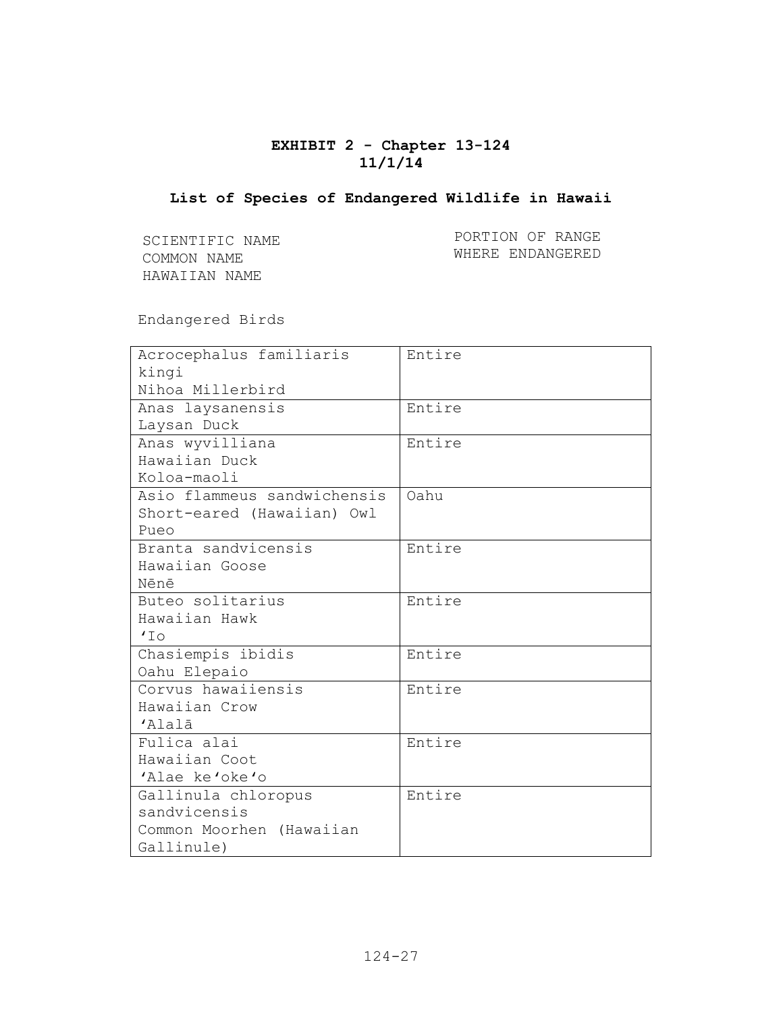# **EXHIBIT 2 - Chapter 13-124 11/1/14**

### **List of Species of Endangered Wildlife in Hawaii**

SCIENTIFIC NAME COMMON NAME HAWAIIAN NAME

PORTION OF RANGE WHERE ENDANGERED

Endangered Birds

| Acrocephalus familiaris     | Entire |
|-----------------------------|--------|
| kingi                       |        |
| Nihoa Millerbird            |        |
| Anas laysanensis            | Entire |
| Laysan Duck                 |        |
| Anas wyvilliana             | Entire |
| Hawaiian Duck               |        |
| Koloa-maoli                 |        |
| Asio flammeus sandwichensis | Oahu   |
| Short-eared (Hawaiian) Owl  |        |
| Pueo                        |        |
| Branta sandvicensis         | Entire |
| Hawaiian Goose              |        |
| Nēnē                        |        |
| Buteo solitarius            | Entire |
| Hawaiian Hawk               |        |
| 170                         |        |
| Chasiempis ibidis           | Entire |
| Oahu Elepaio                |        |
| Corvus hawaiiensis          | Entire |
| Hawaiian Crow               |        |
| 'Alalā                      |        |
| Fulica alai                 | Entire |
| Hawaiian Coot               |        |
| 'Alae ke'oke'o              |        |
| Gallinula chloropus         | Entire |
| sandvicensis                |        |
| Common Moorhen (Hawaiian    |        |
| Gallinule)                  |        |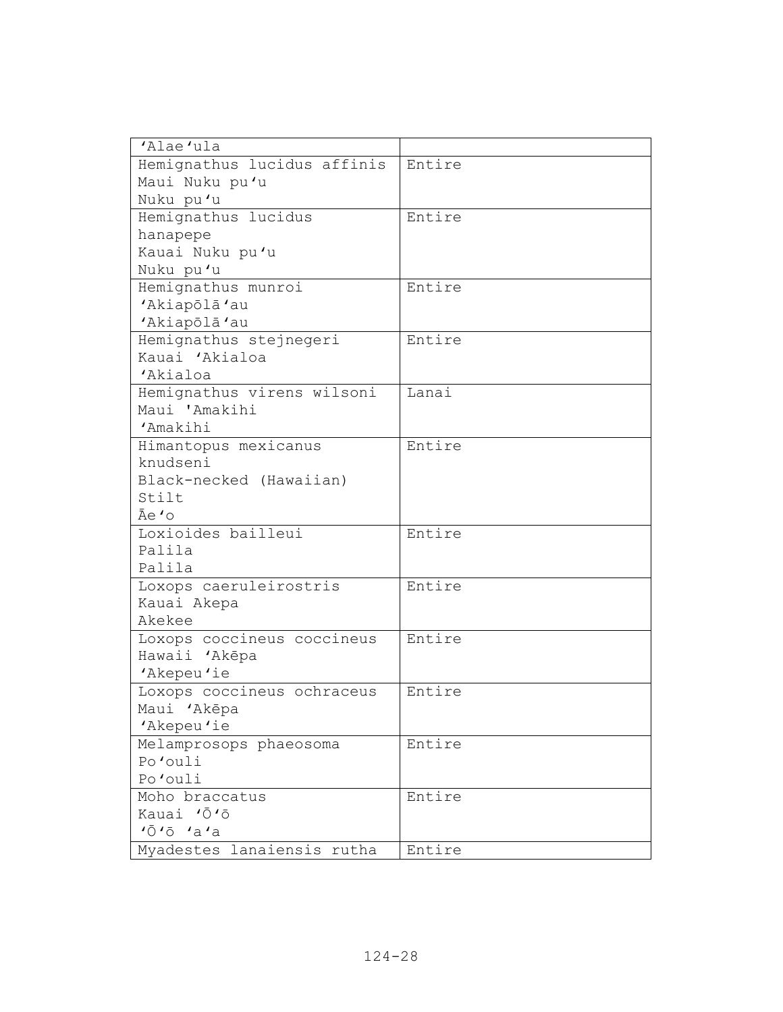| 'Alae'ula                   |        |
|-----------------------------|--------|
| Hemignathus lucidus affinis | Entire |
| Maui Nuku pu'u              |        |
| Nuku pu'u                   |        |
| Hemignathus lucidus         | Entire |
| hanapepe                    |        |
| Kauai Nuku pu'u             |        |
| Nuku pu'u                   |        |
| Hemignathus munroi          | Entire |
| 'Akiapōlā'au                |        |
| 'Akiapōlā'au                |        |
| Hemignathus stejnegeri      | Entire |
| Kauai 'Akialoa              |        |
| 'Akialoa                    |        |
| Hemignathus virens wilsoni  | Lanai  |
| Maui 'Amakihi               |        |
| 'Amakihi                    |        |
| Himantopus mexicanus        | Entire |
| knudseni                    |        |
| Black-necked (Hawaiian)     |        |
| Stilt                       |        |
| Āe 'o                       |        |
| Loxioides bailleui          | Entire |
| Palila                      |        |
| Palila                      |        |
| Loxops caeruleirostris      | Entire |
| Kauai Akepa                 |        |
| Akekee                      |        |
| Loxops coccineus coccineus  | Entire |
| Hawaii 'Akēpa               |        |
| 'Akepeu'ie                  |        |
| Loxops coccineus ochraceus  | Entire |
| Maui 'Akēpa                 |        |
| 'Akepeu'ie                  |        |
| Melamprosops phaeosoma      | Entire |
| Po'ouli                     |        |
| Po'ouli                     |        |
| Moho braccatus              | Entire |
| Kauai 'Ō'ō                  |        |
| 10101a1a                    |        |
| Myadestes lanaiensis rutha  | Entire |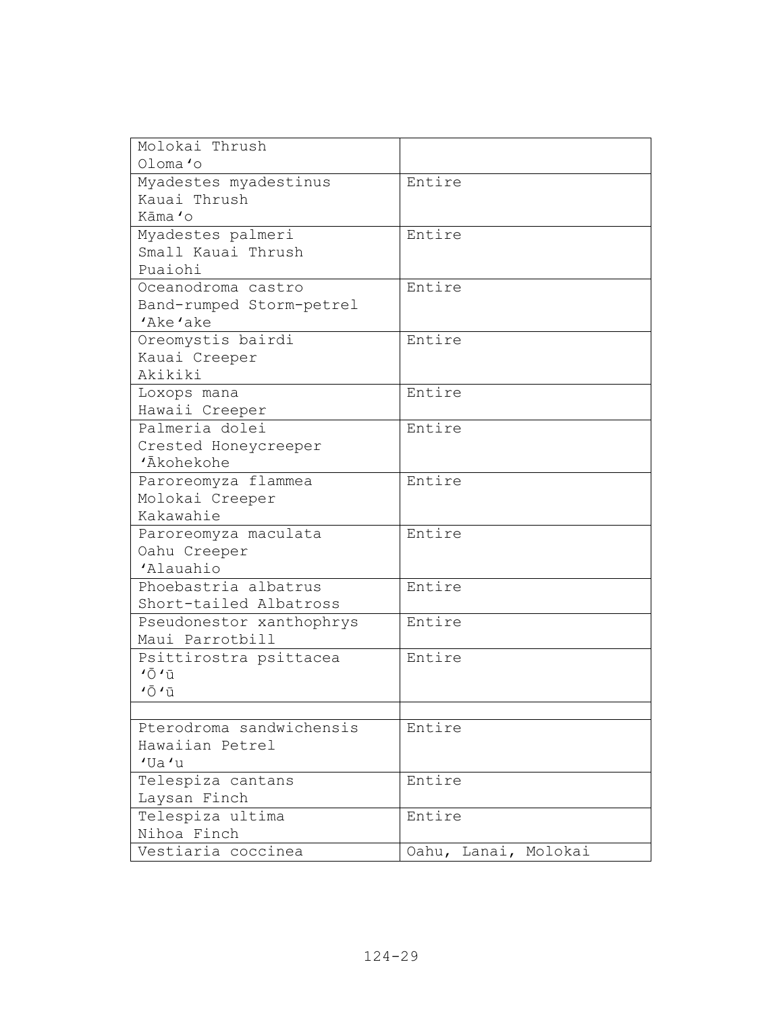| Molokai Thrush                |                      |
|-------------------------------|----------------------|
| Oloma'o                       |                      |
| Myadestes myadestinus         | Entire               |
| Kauai Thrush                  |                      |
| Kāma 'o                       |                      |
| Myadestes palmeri             | Entire               |
| Small Kauai Thrush            |                      |
| Puaiohi                       |                      |
| Oceanodroma castro            | Entire               |
| Band-rumped Storm-petrel      |                      |
| 'Ake'ake                      |                      |
| Oreomystis bairdi             | Entire               |
| Kauai Creeper                 |                      |
| Akikiki                       |                      |
| Loxops mana                   | Entire               |
| Hawaii Creeper                |                      |
| Palmeria dolei                | Entire               |
| Crested Honeycreeper          |                      |
| 'Ākohekohe                    |                      |
| Paroreomyza flammea           | Entire               |
| Molokai Creeper               |                      |
| Kakawahie                     |                      |
| Paroreomyza maculata          | Entire               |
| Oahu Creeper                  |                      |
| 'Alauahio                     |                      |
| Phoebastria albatrus          | Entire               |
| Short-tailed Albatross        |                      |
| Pseudonestor xanthophrys      | Entire               |
| Maui Parrotbill               |                      |
| Psittirostra psittacea        | Entire               |
| $\overline{O}$ $\overline{u}$ |                      |
| $' \bar{O}$ $' \bar{u}$       |                      |
|                               |                      |
| Pterodroma sandwichensis      | Entire               |
| Hawaiian Petrel               |                      |
| $'$ Ua $'$ u                  |                      |
| Telespiza cantans             | Entire               |
| Laysan Finch                  |                      |
| Telespiza ultima              | Entire               |
| Nihoa Finch                   |                      |
| Vestiaria coccinea            | Oahu, Lanai, Molokai |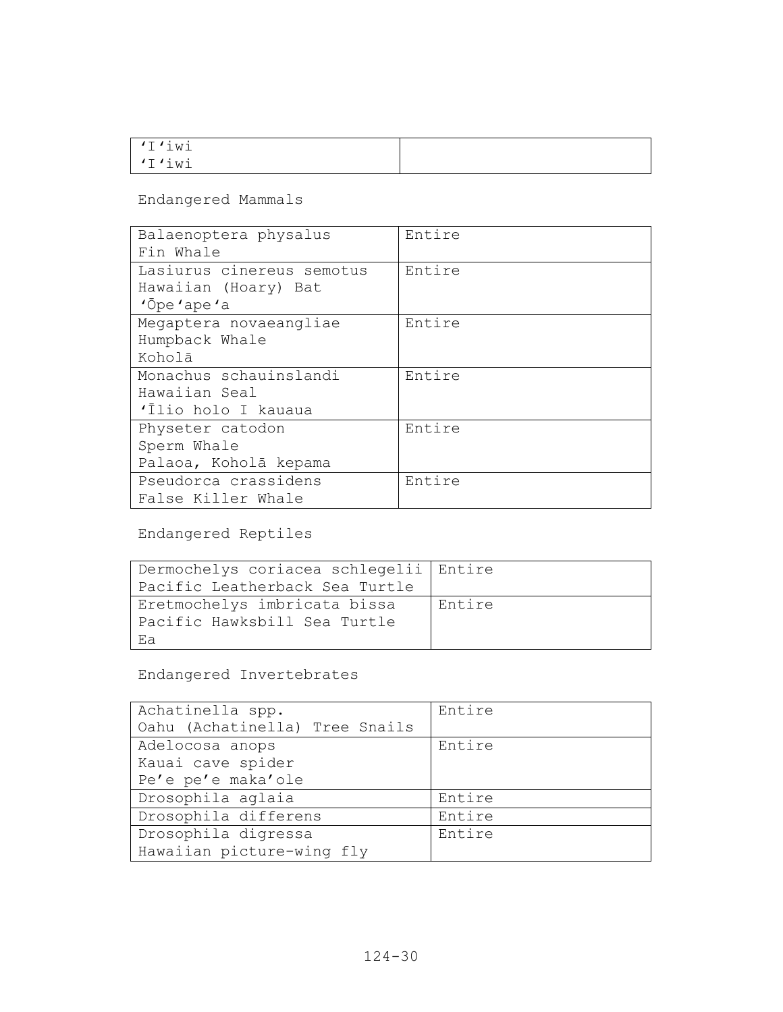| I'iwi<br>$\overline{\phantom{a}}$         |  |
|-------------------------------------------|--|
| TMI, T<br>$\cdot$ $\cdot$ $\cdot$ $\cdot$ |  |

Endangered Mammals

| Balaenoptera physalus     | Entire |
|---------------------------|--------|
| Fin Whale                 |        |
| Lasiurus cinereus semotus | Entire |
| Hawaiian (Hoary) Bat      |        |
| $'$ <sup>O</sup> pe'ape'a |        |
| Megaptera novaeangliae    | Entire |
| Humpback Whale            |        |
| Koholā                    |        |
| Monachus schauinslandi    | Entire |
| Hawaiian Seal             |        |
| 'Ilio holo I kauaua       |        |
| Physeter catodon          | Entire |
| Sperm Whale               |        |
| Palaoa, Koholā kepama     |        |
| Pseudorca crassidens      | Entire |
| False Killer Whale        |        |

Endangered Reptiles

| Dermochelys coriacea schlegelii Entire |        |
|----------------------------------------|--------|
| Pacific Leatherback Sea Turtle         |        |
| Eretmochelys imbricata bissa           | Entire |
| Pacific Hawksbill Sea Turtle           |        |
| Ea                                     |        |

Endangered Invertebrates

| Achatinella spp.               | Entire |
|--------------------------------|--------|
| Oahu (Achatinella) Tree Snails |        |
| Adelocosa anops                | Entire |
| Kauai cave spider              |        |
| Pe'e pe'e maka'ole             |        |
| Drosophila aglaia              | Entire |
| Drosophila differens           | Entire |
| Drosophila digressa            | Entire |
| Hawaiian picture-wing fly      |        |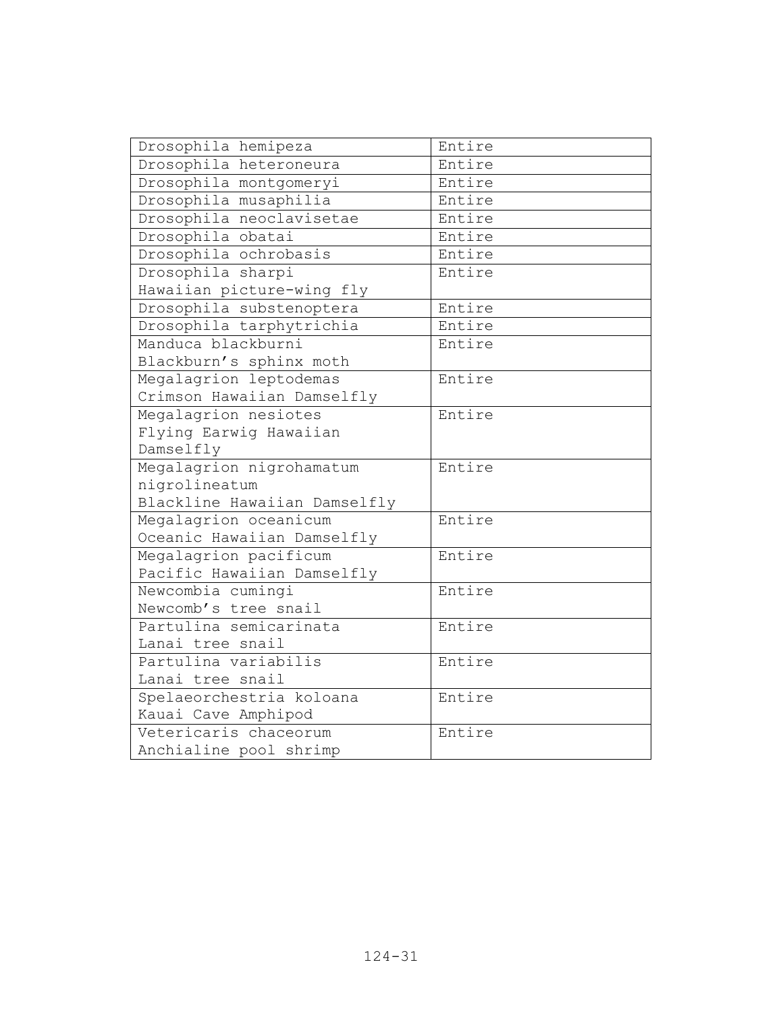| Drosophila hemipeza          | Entire |
|------------------------------|--------|
| Drosophila heteroneura       | Entire |
| Drosophila montgomeryi       | Entire |
| Drosophila musaphilia        | Entire |
| Drosophila neoclavisetae     | Entire |
| Drosophila obatai            | Entire |
| Drosophila ochrobasis        | Entire |
| Drosophila sharpi            | Entire |
| Hawaiian picture-wing fly    |        |
| Drosophila substenoptera     | Entire |
| Drosophila tarphytrichia     | Entire |
| Manduca blackburni           | Entire |
| Blackburn's sphinx moth      |        |
| Megalagrion leptodemas       | Entire |
| Crimson Hawaiian Damselfly   |        |
| Megalagrion nesiotes         | Entire |
| Flying Earwig Hawaiian       |        |
| Damselfly                    |        |
| Megalagrion nigrohamatum     | Entire |
| nigrolineatum                |        |
| Blackline Hawaiian Damselfly |        |
| Megalagrion oceanicum        | Entire |
| Oceanic Hawaiian Damselfly   |        |
| Megalagrion pacificum        | Entire |
| Pacific Hawaiian Damselfly   |        |
| Newcombia cumingi            | Entire |
| Newcomb's tree snail         |        |
| Partulina semicarinata       | Entire |
| Lanai tree snail             |        |
| Partulina variabilis         | Entire |
| Lanai tree snail             |        |
| Spelaeorchestria koloana     | Entire |
| Kauai Cave Amphipod          |        |
| Vetericaris chaceorum        | Entire |
| Anchialine pool shrimp       |        |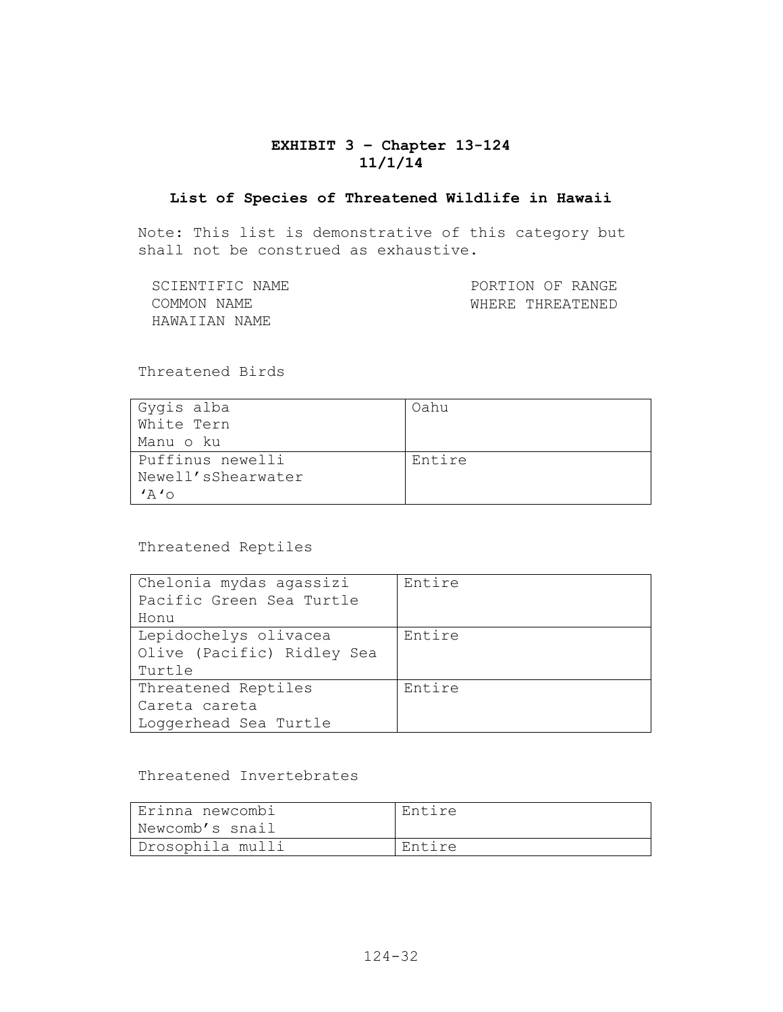## **EXHIBIT 3 – Chapter 13-124 11/1/14**

#### **List of Species of Threatened Wildlife in Hawaii**

Note: This list is demonstrative of this category but shall not be construed as exhaustive.

| SCIENTIFIC NAME | PORTION OF RANGE |
|-----------------|------------------|
| COMMON NAME     | WHERE THREATENED |
| HAWAIIAN NAME   |                  |

Threatened Birds

| Gygis alba            | Oahu   |
|-----------------------|--------|
| White Tern            |        |
| Manu o ku             |        |
| Puffinus newelli      | Entire |
| Newell'sShearwater    |        |
| $'$ $\wedge$ $\wedge$ |        |

Threatened Reptiles

| Chelonia mydas agassizi    | Entire |
|----------------------------|--------|
| Pacific Green Sea Turtle   |        |
| Honu                       |        |
| Lepidochelys olivacea      | Entire |
| Olive (Pacific) Ridley Sea |        |
| Turtle                     |        |
| Threatened Reptiles        | Entire |
| Careta careta              |        |
| Loggerhead Sea Turtle      |        |

### Threatened Invertebrates

| Erinna newcombi  | Entire |
|------------------|--------|
| Newcomb's snail  |        |
| Drosophila mulli | Entire |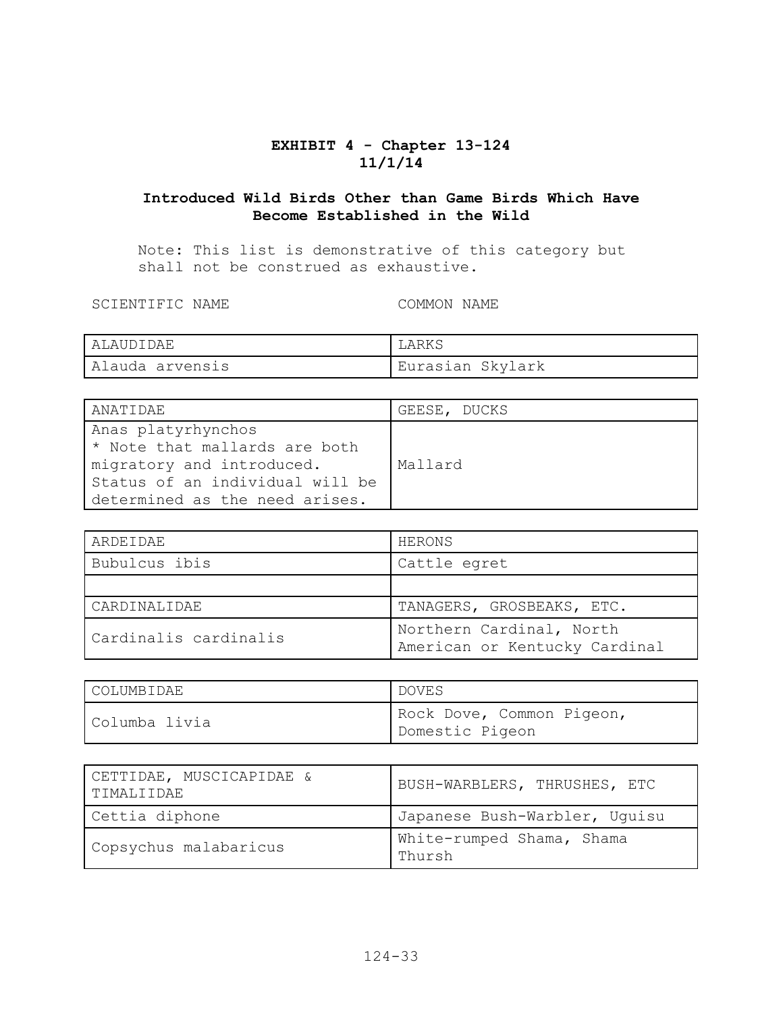# **EXHIBIT 4 - Chapter 13-124 11/1/14**

# **Introduced Wild Birds Other than Game Birds Which Have Become Established in the Wild**

Note: This list is demonstrative of this category but shall not be construed as exhaustive.

SCIENTIFIC NAME COMMON NAME

| ALAUDIDAE       |                  |
|-----------------|------------------|
| Alauda arvensis | Eurasian Skylark |

| ANATIDAE                                                                         | GEESE, DUCKS |
|----------------------------------------------------------------------------------|--------------|
| Anas platyrhynchos<br>* Note that mallards are both<br>migratory and introduced. | Mallard      |
| Status of an individual will be<br>determined as the need arises.                |              |

| ARDEIDAE              | HERONS                                                    |
|-----------------------|-----------------------------------------------------------|
| Bubulcus ibis         | Cattle egret                                              |
|                       |                                                           |
| CARDINALIDAE          | TANAGERS, GROSBEAKS, ETC.                                 |
| Cardinalis cardinalis | Northern Cardinal, North<br>American or Kentucky Cardinal |

| COLUMBIDAE    | DOVES                                        |
|---------------|----------------------------------------------|
| Columba livia | Rock Dove, Common Pigeon,<br>Domestic Pigeon |

| CETTIDAE, MUSCICAPIDAE &<br>TIMALIIDAE | BUSH-WARBLERS, THRUSHES, ETC        |
|----------------------------------------|-------------------------------------|
| Cettia diphone                         | Japanese Bush-Warbler, Uquisu       |
| Copsychus malabaricus                  | White-rumped Shama, Shama<br>Thursh |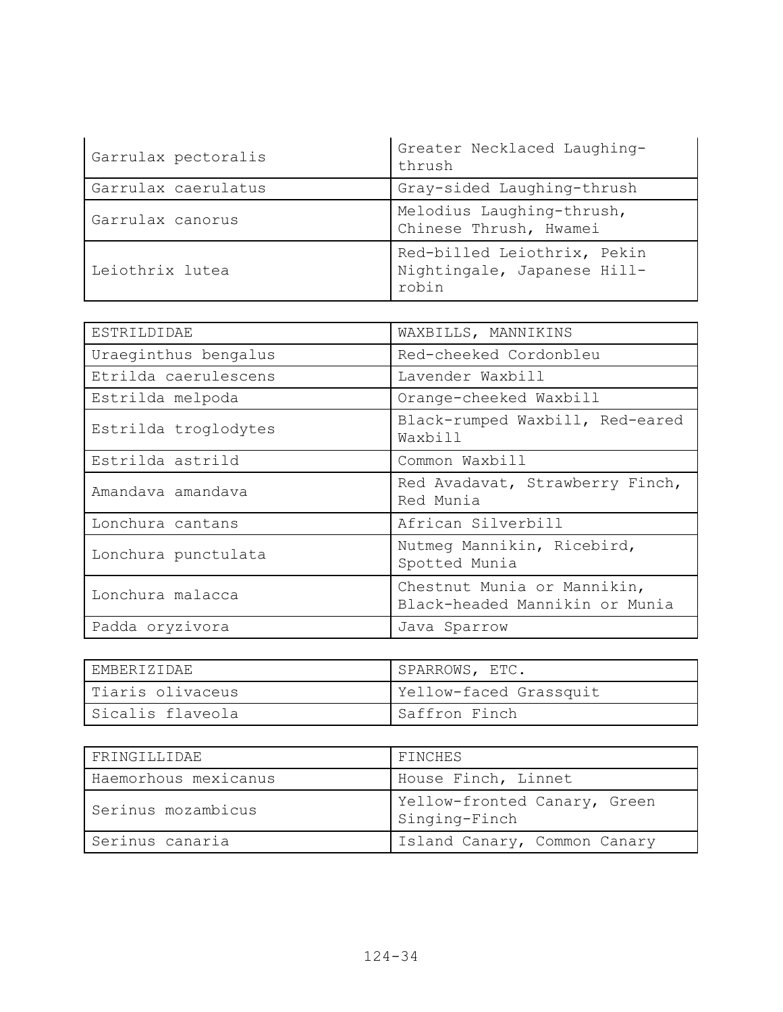| Garrulax pectoralis | Greater Necklaced Laughing-<br>thrush                               |
|---------------------|---------------------------------------------------------------------|
| Garrulax caerulatus | Gray-sided Laughing-thrush                                          |
| Garrulax canorus    | Melodius Laughing-thrush,<br>Chinese Thrush, Hwamei                 |
| Leiothrix lutea     | Red-billed Leiothrix, Pekin<br>Nightingale, Japanese Hill-<br>robin |

| ESTRILDIDAE          | WAXBILLS, MANNIKINS                                           |
|----------------------|---------------------------------------------------------------|
| Uraeginthus bengalus | Red-cheeked Cordonbleu                                        |
| Etrilda caerulescens | Lavender Waxbill                                              |
| Estrilda melpoda     | Orange-cheeked Waxbill                                        |
| Estrilda troglodytes | Black-rumped Waxbill, Red-eared<br>Waxbill                    |
| Estrilda astrild     | Common Waxbill                                                |
| Amandava amandava    | Red Avadavat, Strawberry Finch,<br>Red Munia                  |
| Lonchura cantans     | African Silverbill                                            |
| Lonchura punctulata  | Nutmeg Mannikin, Ricebird,<br>Spotted Munia                   |
| Lonchura malacca     | Chestnut Munia or Mannikin,<br>Black-headed Mannikin or Munia |
| Padda oryzivora      | Java Sparrow                                                  |

| EMBERIZIDAE      | SPARROWS, ETC.         |
|------------------|------------------------|
| Tiaris olivaceus | Yellow-faced Grassquit |
| Sicalis flaveola | Saffron Finch          |

| FRINGILLIDAE         | FINCHES                                       |
|----------------------|-----------------------------------------------|
| Haemorhous mexicanus | House Finch, Linnet                           |
| Serinus mozambicus   | Yellow-fronted Canary, Green<br>Singing-Finch |
| Serinus canaria      | Island Canary, Common Canary                  |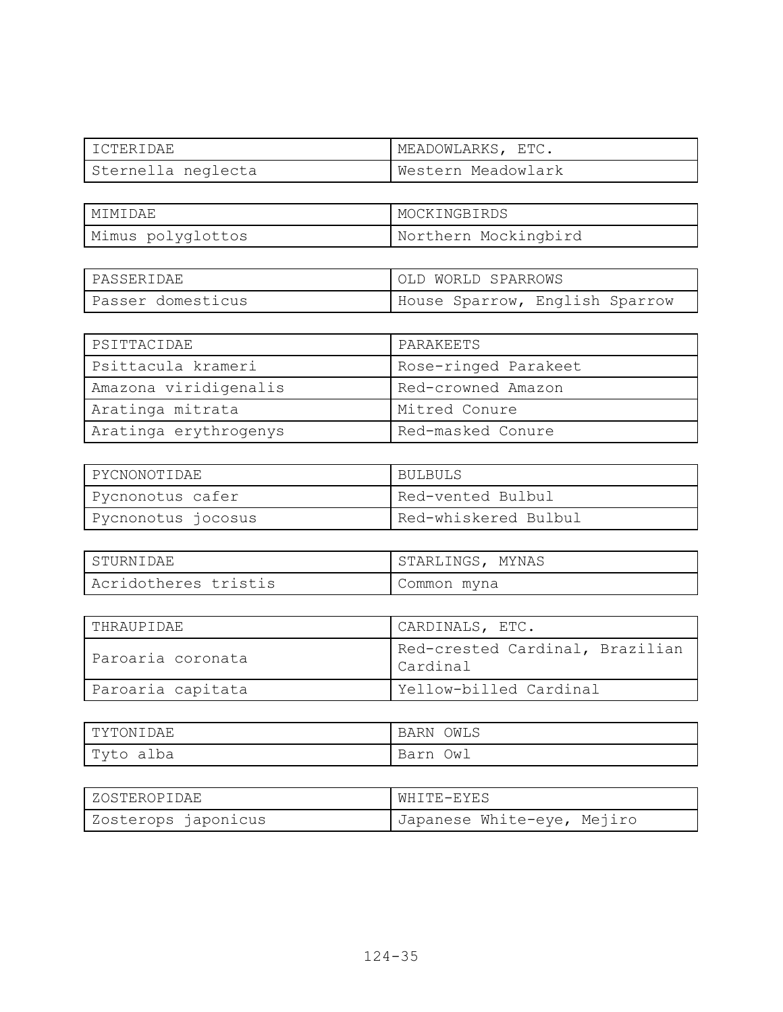| I ICTERIDAE        | MEADOWLARKS, ETC.  |
|--------------------|--------------------|
| Sternella neglecta | Western Meadowlark |

| I MTMTDAE.        | MOCKINGBIRDS         |
|-------------------|----------------------|
| Mimus polyglottos | Northern Mockingbird |

| PASSERIDAE        | OLD WORLD SPARROWS             |
|-------------------|--------------------------------|
| Passer domesticus | House Sparrow, English Sparrow |

| PSITTACIDAE           | PARAKEETS            |
|-----------------------|----------------------|
| Psittacula krameri    | Rose-ringed Parakeet |
| Amazona viridigenalis | Red-crowned Amazon   |
| Aratinga mitrata      | Mitred Conure        |
| Aratinga erythrogenys | Red-masked Conure    |

| PYCNONOTIDAE       | BULBULS              |
|--------------------|----------------------|
| Pycnonotus cafer   | Red-vented Bulbul    |
| Pycnonotus jocosus | Red-whiskered Bulbul |

| STURNIDAE            | STARLINGS, MYNAS |
|----------------------|------------------|
| Acridotheres tristis | Common myna      |

| THRAUPIDAE        | CARDINALS, ETC.                             |
|-------------------|---------------------------------------------|
| Paroaria coronata | Red-crested Cardinal, Brazilian<br>Cardinal |
| Paroaria capitata | Yellow-billed Cardinal                      |

| TYTONIDAE | <b>BARN</b><br>OWLS |
|-----------|---------------------|
| Tyto alba | Ow⊥<br>Barn         |

| ZOSTEROPIDAE        | WHITE-EYES                 |
|---------------------|----------------------------|
| Zosterops japonicus | Japanese White-eye, Mejiro |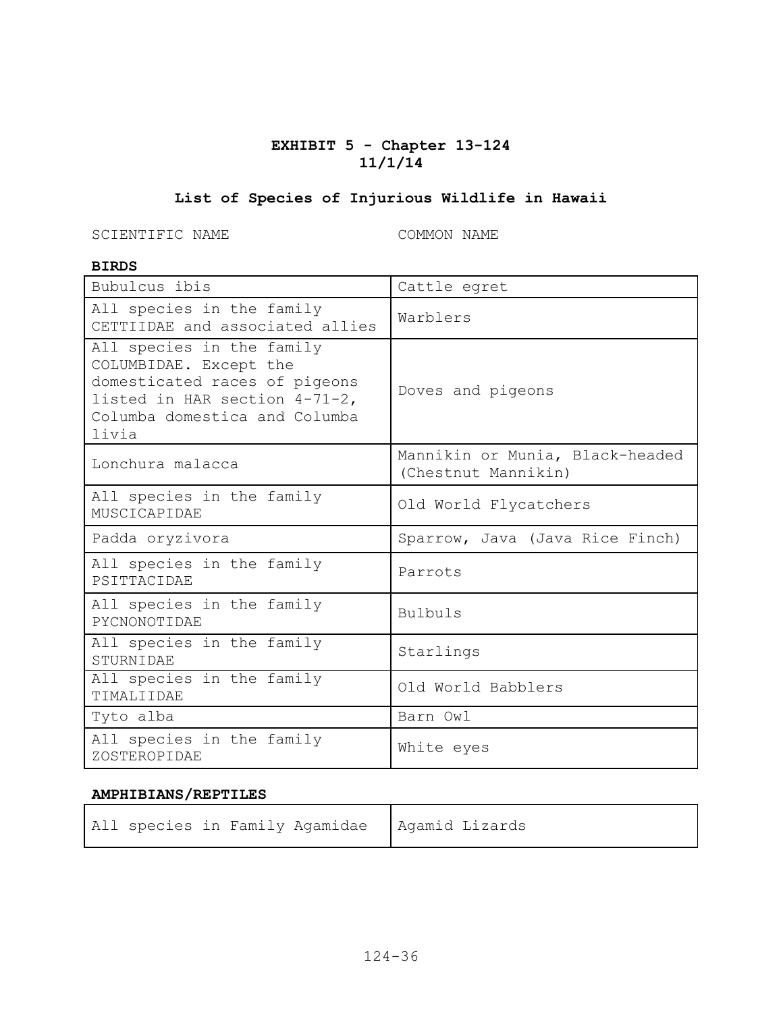# **EXHIBIT 5 - Chapter 13-124 11/1/14**

# **List of Species of Injurious Wildlife in Hawaii**

SCIENTIFIC NAME COMMON NAME

#### **BIRDS**

| Bubulcus ibis                                                                                                                                                   | Cattle egret                                           |
|-----------------------------------------------------------------------------------------------------------------------------------------------------------------|--------------------------------------------------------|
| All species in the family<br>CETTIIDAE and associated allies                                                                                                    | Warblers                                               |
| All species in the family<br>COLUMBIDAE. Except the<br>domesticated races of pigeons<br>listed in HAR section 4-71-2,<br>Columba domestica and Columba<br>livia | Doves and pigeons                                      |
| Lonchura malacca                                                                                                                                                | Mannikin or Munia, Black-headed<br>(Chestnut Mannikin) |
| All species in the family<br>MUSCICAPIDAE                                                                                                                       | Old World Flycatchers                                  |
| Padda oryzivora                                                                                                                                                 | Sparrow, Java (Java Rice Finch)                        |
| All species in the family<br>PSITTACIDAE                                                                                                                        | Parrots                                                |
| All species in the family<br>PYCNONOTIDAE                                                                                                                       | <b>Bulbuls</b>                                         |
| All species in the family<br>STURNIDAE                                                                                                                          | Starlings                                              |
| All species in the family<br>TIMALIIDAE                                                                                                                         | Old World Babblers                                     |
| Tyto alba                                                                                                                                                       | Barn Owl                                               |
| All species in the family<br>ZOSTEROPIDAE                                                                                                                       | White eyes                                             |

#### **AMPHIBIANS/REPTILES**

| All species in Family Agamidae   Agamid Lizards |  |
|-------------------------------------------------|--|
|-------------------------------------------------|--|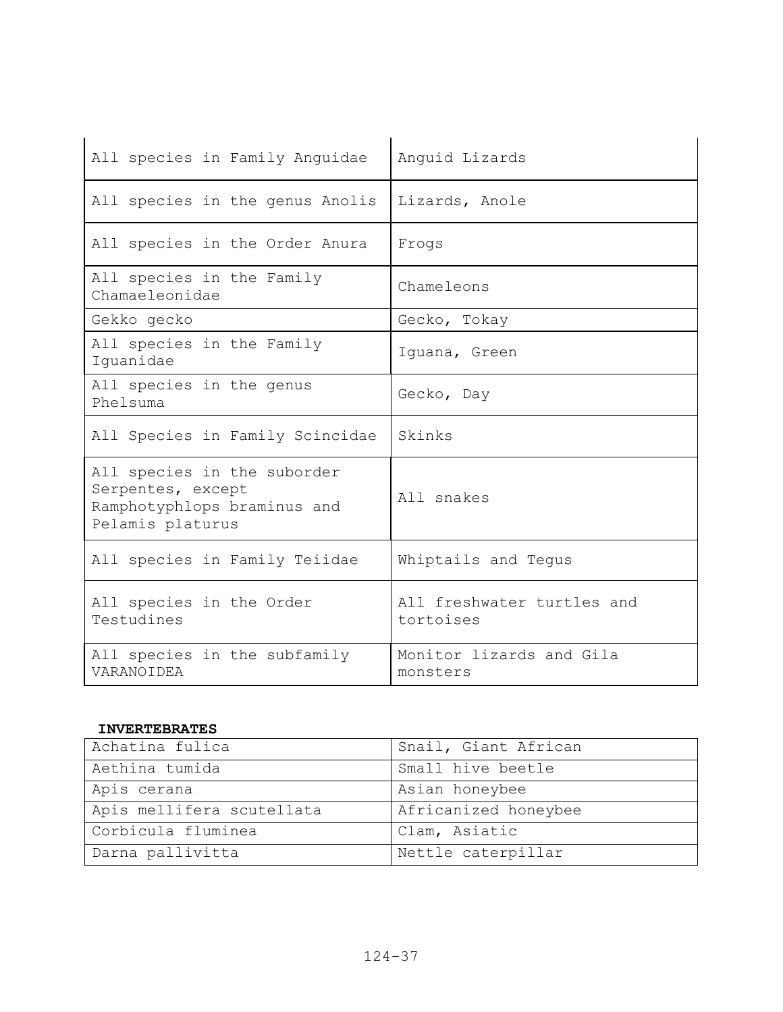| All species in Family Anguidae                                                                      | Anguid Lizards                          |
|-----------------------------------------------------------------------------------------------------|-----------------------------------------|
| All species in the genus Anolis                                                                     | Lizards, Anole                          |
| All species in the Order Anura                                                                      | Frogs                                   |
| All species in the Family<br>Chamaeleonidae                                                         | Chameleons                              |
| Gekko gecko                                                                                         | Gecko, Tokay                            |
| All species in the Family<br>Iquanidae                                                              | Iquana, Green                           |
| All species in the genus<br>Phelsuma                                                                | Gecko, Day                              |
| All Species in Family Scincidae                                                                     | Skinks                                  |
| All species in the suborder<br>Serpentes, except<br>Ramphotyphlops braminus and<br>Pelamis platurus | All snakes                              |
| All species in Family Teiidae                                                                       | Whiptails and Tequs                     |
| All species in the Order<br>Testudines                                                              | All freshwater turtles and<br>tortoises |
| All species in the subfamily<br>VARANOIDEA                                                          | Monitor lizards and Gila<br>monsters    |

#### **INVERTEBRATES**

| Achatina fulica           | Snail, Giant African |
|---------------------------|----------------------|
| Aethina tumida            | Small hive beetle    |
| Apis cerana               | Asian honeybee       |
| Apis mellifera scutellata | Africanized honeybee |
| Corbicula fluminea        | Clam, Asiatic        |
| Darna pallivitta          | Nettle caterpillar   |